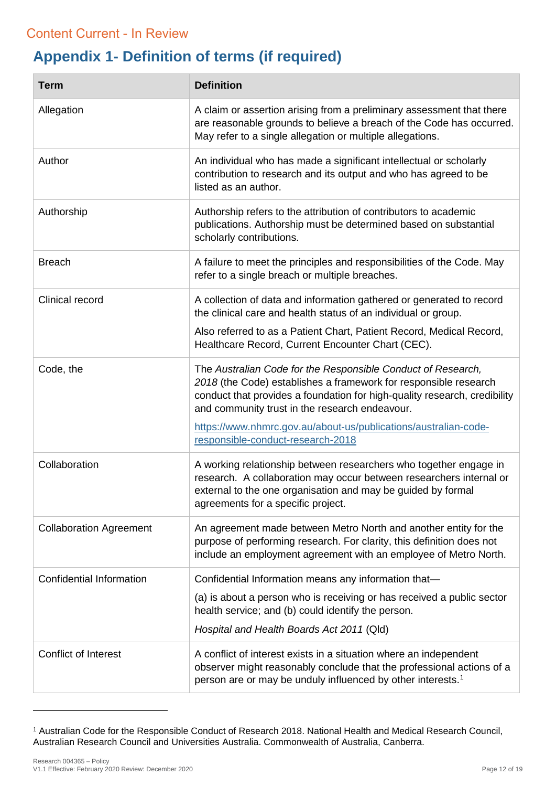## **Appendix 1- Definition of terms (if required)**  Review Overdue – content approved by authorising officer to remain published

| <b>Term</b>                     | <b>Definition</b>                                                                                                                                                                                                                                                                                                                  |
|---------------------------------|------------------------------------------------------------------------------------------------------------------------------------------------------------------------------------------------------------------------------------------------------------------------------------------------------------------------------------|
| Allegation                      | A claim or assertion arising from a preliminary assessment that there<br>are reasonable grounds to believe a breach of the Code has occurred.<br>May refer to a single allegation or multiple allegations.                                                                                                                         |
| Author                          | An individual who has made a significant intellectual or scholarly<br>contribution to research and its output and who has agreed to be<br>listed as an author.                                                                                                                                                                     |
| Authorship                      | Authorship refers to the attribution of contributors to academic<br>publications. Authorship must be determined based on substantial<br>scholarly contributions.                                                                                                                                                                   |
| <b>Breach</b>                   | A failure to meet the principles and responsibilities of the Code. May<br>refer to a single breach or multiple breaches.                                                                                                                                                                                                           |
| Clinical record                 | A collection of data and information gathered or generated to record<br>the clinical care and health status of an individual or group.                                                                                                                                                                                             |
|                                 | Also referred to as a Patient Chart, Patient Record, Medical Record,<br>Healthcare Record, Current Encounter Chart (CEC).                                                                                                                                                                                                          |
| Code, the                       | The Australian Code for the Responsible Conduct of Research,<br>2018 (the Code) establishes a framework for responsible research<br>conduct that provides a foundation for high-quality research, credibility<br>and community trust in the research endeavour.<br>https://www.nhmrc.gov.au/about-us/publications/australian-code- |
|                                 | responsible-conduct-research-2018                                                                                                                                                                                                                                                                                                  |
| Collaboration                   | A working relationship between researchers who together engage in<br>research. A collaboration may occur between researchers internal or<br>external to the one organisation and may be guided by formal<br>agreements for a specific project.                                                                                     |
| <b>Collaboration Agreement</b>  | An agreement made between Metro North and another entity for the<br>purpose of performing research. For clarity, this definition does not<br>include an employment agreement with an employee of Metro North.                                                                                                                      |
| <b>Confidential Information</b> | Confidential Information means any information that-                                                                                                                                                                                                                                                                               |
|                                 | (a) is about a person who is receiving or has received a public sector<br>health service; and (b) could identify the person.                                                                                                                                                                                                       |
|                                 | Hospital and Health Boards Act 2011 (Qld)                                                                                                                                                                                                                                                                                          |
| <b>Conflict of Interest</b>     | A conflict of interest exists in a situation where an independent<br>observer might reasonably conclude that the professional actions of a<br>person are or may be unduly influenced by other interests. <sup>1</sup>                                                                                                              |

<span id="page-11-0"></span><sup>1</sup> Australian Code for the Responsible Conduct of Research 2018. National Health and Medical Research Council, Australian Research Council and Universities Australia. Commonwealth of Australia, Canberra.

-